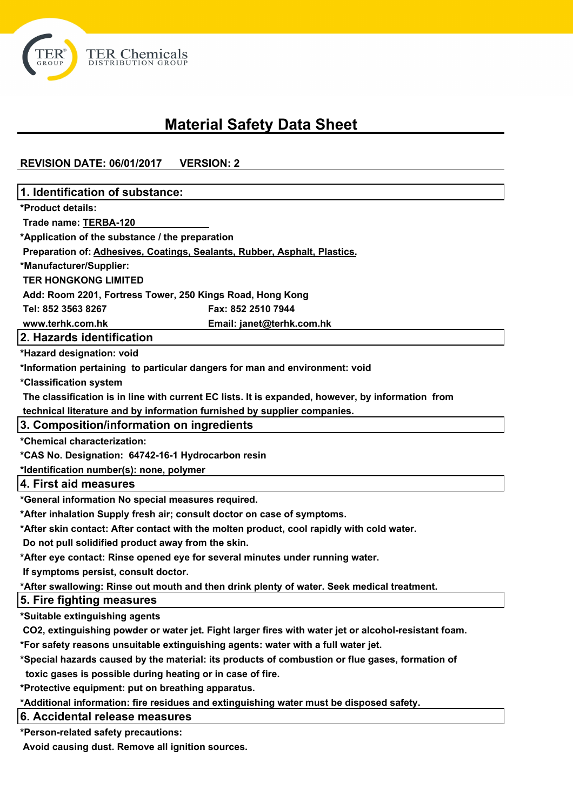

# **Material Safety Data Sheet**

# **REVISION DATE: 06/01/2017 VERSION: 2**

| 1. Identification of substance:                                                                      |
|------------------------------------------------------------------------------------------------------|
| *Product details:                                                                                    |
| Trade name: TERBA-120                                                                                |
| *Application of the substance / the preparation                                                      |
| Preparation of: Adhesives, Coatings, Sealants, Rubber, Asphalt, Plastics.                            |
| *Manufacturer/Supplier:                                                                              |
| <b>TER HONGKONG LIMITED</b>                                                                          |
| Add: Room 2201, Fortress Tower, 250 Kings Road, Hong Kong                                            |
| Tel: 852 3563 8267<br>Fax: 852 2510 7944                                                             |
| www.terhk.com.hk<br>Email: janet@terhk.com.hk                                                        |
| 2. Hazards identification                                                                            |
| *Hazard designation: void                                                                            |
| *Information pertaining to particular dangers for man and environment: void                          |
| *Classification system                                                                               |
| The classification is in line with current EC lists. It is expanded, however, by information from    |
| technical literature and by information furnished by supplier companies.                             |
| 3. Composition/information on ingredients                                                            |
| *Chemical characterization:                                                                          |
| *CAS No. Designation: 64742-16-1 Hydrocarbon resin                                                   |
| *Identification number(s): none, polymer                                                             |
| 4. First aid measures                                                                                |
| *General information No special measures required.                                                   |
| *After inhalation Supply fresh air; consult doctor on case of symptoms.                              |
| *After skin contact: After contact with the molten product, cool rapidly with cold water.            |
| Do not pull solidified product away from the skin.                                                   |
| *After eye contact: Rinse opened eye for several minutes under running water.                        |
| If symptoms persist, consult doctor.                                                                 |
| *After swallowing: Rinse out mouth and then drink plenty of water. Seek medical treatment.           |
| 5. Fire fighting measures                                                                            |
| *Suitable extinguishing agents                                                                       |
| CO2, extinguishing powder or water jet. Fight larger fires with water jet or alcohol-resistant foam. |
| *For safety reasons unsuitable extinguishing agents: water with a full water jet.                    |
| *Special hazards caused by the material: its products of combustion or flue gases, formation of      |
| toxic gases is possible during heating or in case of fire.                                           |
| *Protective equipment: put on breathing apparatus.                                                   |
| *Additional information: fire residues and extinguishing water must be disposed safety.              |
| 6. Accidental release measures                                                                       |
| *Person-related safety precautions:                                                                  |
| Avoid causing dust. Remove all ignition sources.                                                     |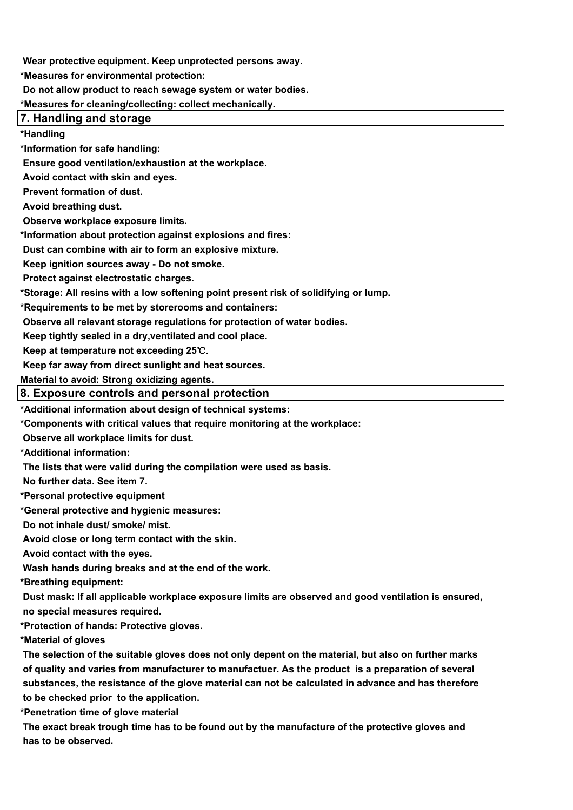**Wear protective equipment. Keep unprotected persons away.**

**\*Measures for environmental protection:**

 **Do not allow product to reach sewage system or water bodies.**

**\*Measures for cleaning/collecting: collect mechanically.**

### **7. Handling and storage**

**\*Handling**

**\*Information for safe handling:**

 **Ensure good ventilation/exhaustion at the workplace.**

 **Avoid contact with skin and eyes.** 

 **Prevent formation of dust.**

 **Avoid breathing dust.**

 **Observe workplace exposure limits.**

**\*Information about protection against explosions and fires:**

 **Dust can combine with air to form an explosive mixture.**

 **Keep ignition sources away - Do not smoke.**

 **Protect against electrostatic charges.**

**\*Storage: All resins with a low softening point present risk of solidifying or lump.** 

**\*Requirements to be met by storerooms and containers:**

 **Observe all relevant storage regulations for protection of water bodies.**

 **Keep tightly sealed in a dry,ventilated and cool place.**

 **Keep at temperature not exceeding 25**℃.

 **Keep far away from direct sunlight and heat sources.**

**Material to avoid: Strong oxidizing agents.**

#### **8. Exposure controls and personal protection**

**\*Additional information about design of technical systems:** 

**\*Components with critical values that require monitoring at the workplace:**

 **Observe all workplace limits for dust.**

**\*Additional information:**

 **The lists that were valid during the compilation were used as basis.**

 **No further data. See item 7.**

**\*Personal protective equipment**

**\*General protective and hygienic measures:**

 **Do not inhale dust/ smoke/ mist.**

 **Avoid close or long term contact with the skin.**

 **Avoid contact with the eyes.**

 **Wash hands during breaks and at the end of the work.**

**\*Breathing equipment:**

 **Dust mask: If all applicable workplace exposure limits are observed and good ventilation is ensured, no special measures required.**

**\*Protection of hands: Protective gloves.**

**\*Material of gloves**

 **The selection of the suitable gloves does not only depent on the material, but also on further marks of quality and varies from manufacturer to manufactuer. As the product is a preparation of several substances, the resistance of the glove material can not be calculated in advance and has therefore to be checked prior to the application.**

**\*Penetration time of glove material**

 **The exact break trough time has to be found out by the manufacture of the protective gloves and has to be observed.**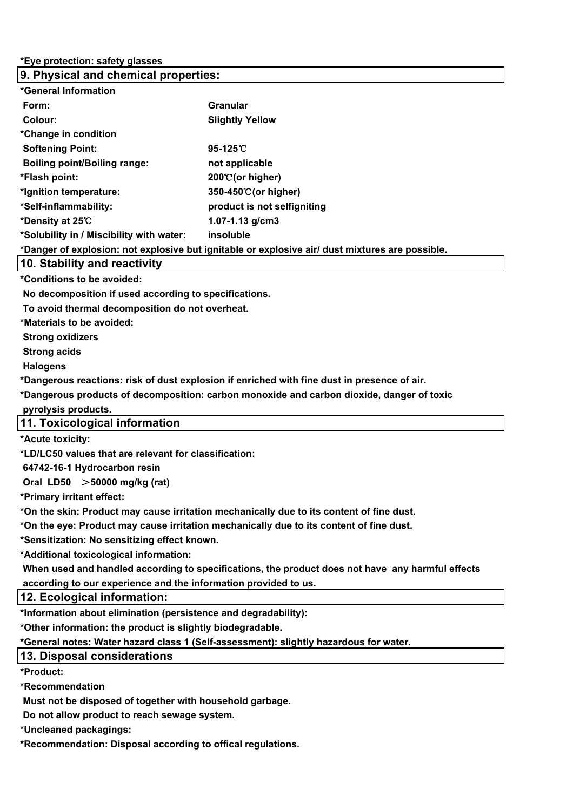# **9. Physical and chemical properties: \*General Information Form:** Granular **Granular Colour:** Slightly Yellow **\*Change in condition Softening Point: 95-125**℃ **Boiling point/Boiling range:** not applicable **\*Flash point: 200**℃**(or higher) \*Ignition temperature: 350-450**℃**(or higher) \*Self-inflammability: product is not selfigniting \*Density at 25**℃ **1.07-1.13 g/cm3 \*Solubility in / Miscibility with water: insoluble \*Danger of explosion: not explosive but ignitable or explosive air/ dust mixtures are possible. 10. Stability and reactivity \*Conditions to be avoided: No decomposition if used according to specifications. To avoid thermal decomposition do not overheat. \*Materials to be avoided: Strong oxidizers Strong acids Halogens \*Dangerous reactions: risk of dust explosion if enriched with fine dust in presence of air. \*Dangerous products of decomposition: carbon monoxide and carbon dioxide, danger of toxic pyrolysis products. 11. Toxicological information \*Acute toxicity: \*LD/LC50 values that are relevant for classification: 64742-16-1 Hydrocarbon resin Oral LD50** >**50000 mg/kg (rat) \*Primary irritant effect: \*On the skin: Product may cause irritation mechanically due to its content of fine dust. \*On the eye: Product may cause irritation mechanically due to its content of fine dust. \*Sensitization: No sensitizing effect known. \*Additional toxicological information: When used and handled according to specifications, the product does not have any harmful effects according to our experience and the information provided to us. 12. Ecological information: \*Information about elimination (persistence and degradability): \*Other information: the product is slightly biodegradable. \*General notes: Water hazard class 1 (Self-assessment): slightly hazardous for water. 13. Disposal considerations**

**\*Product:**

**\*Recommendation**

 **Must not be disposed of together with household garbage.** 

 **Do not allow product to reach sewage system.**

**\*Uncleaned packagings:**

**\*Recommendation: Disposal according to offical regulations.**